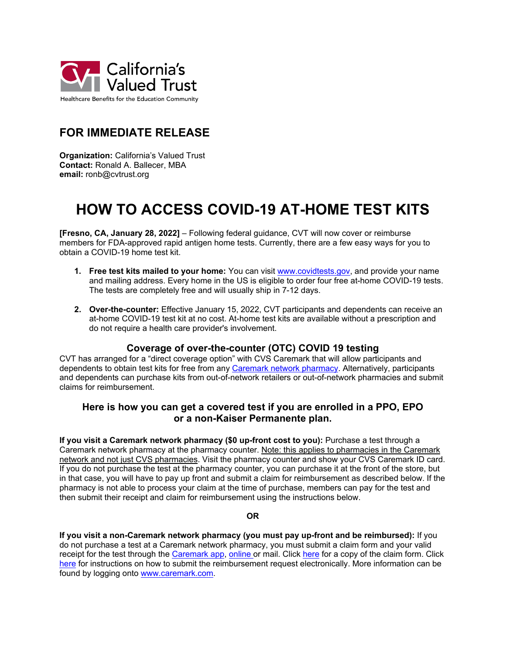

## **FOR IMMEDIATE RELEASE**

**Organization:** California's Valued Trust **Contact:** Ronald A. Ballecer, MBA **email:** ronb@cvtrust.org

# **HOW TO ACCESS COVID-19 AT-HOME TEST KITS**

**[Fresno, CA, January 28, 2022]** – Following federal guidance, CVT will now cover or reimburse members for FDA-approved rapid antigen home tests. Currently, there are a few easy ways for you to obtain a COVID-19 home test kit.

- **1. Free test kits mailed to your home:** You can visit [www.covidtests.gov,](http://www.covidtests.gov/) and provide your name and mailing address. Every home in the US is eligible to order four free at-home COVID-19 tests. The tests are completely free and will usually ship in 7-12 days.
- **2. Over-the-counter:** Effective January 15, 2022, CVT participants and dependents can receive an at-home COVID-19 test kit at no cost. At-home test kits are available without a prescription and do not require a health care provider's involvement.

#### **Coverage of over-the-counter (OTC) COVID 19 testing**

CVT has arranged for a "direct coverage option" with CVS Caremark that will allow participants and dependents to obtain test kits for free from any [Caremark network pharmacy.](https://link.zixcentral.com/u/fe8f13a0/2pSYA1F57BGAR1oSh3soMg?u=https%3A%2F%2Fwww.caremark.com%2Fwps%2Fmyportal%2FPHARMACY_LOCATOR_FAST) Alternatively, participants and dependents can purchase kits from out-of-network retailers or out-of-network pharmacies and submit claims for reimbursement.

#### **Here is how you can get a covered test if you are enrolled in a PPO, EPO or a non-Kaiser Permanente plan.**

**If you visit a Caremark network pharmacy (\$0 up-front cost to you):** Purchase a test through a Caremark network pharmacy at the pharmacy counter. Note: this applies to pharmacies in the Caremark network and not just CVS pharmacies. Visit the pharmacy counter and show your CVS Caremark ID card. If you do not purchase the test at the pharmacy counter, you can purchase it at the front of the store, but in that case, you will have to pay up front and submit a claim for reimbursement as described below. If the pharmacy is not able to process your claim at the time of purchase, members can pay for the test and then submit their receipt and claim for reimbursement using the instructions below.

#### **OR**

**If you visit a non-Caremark network pharmacy (you must pay up-front and be reimbursed):** If you do not purchase a test at a Caremark network pharmacy, you must submit a claim form and your valid receipt for the test through the [Caremark app,](https://link.zixcentral.com/u/58c2c6cc/9q_YA1F57BG4KloSh3soMg?u=https%3A%2F%2Ffast.caremark.com%2Fmcontainer%2Fv0%2Finfo-caremark-mobile%2Findex.html) [online](https://link.zixcentral.com/u/f05581a0/DsWYA1F57BGV1loSh3soMg?u=https%3A%2F%2Fwww.caremark.com%2F) or mail. Click [here](https://www.cvtrust.org/sites/default/files/media/downloads/CVS_PrescriptionReimbursementForm.pdf) for a copy of the claim form. Click [here](https://www.cvtrust.org/sites/default/files/media/downloads/Member_Reimbursement_Flyer.pdf) for instructions on how to submit the reimbursement request electronically. More information can be found by logging onto [www.caremark.com.](https://link.zixcentral.com/u/f05581a0/DsWYA1F57BGV1loSh3soMg?u=https%3A%2F%2Fwww.caremark.com%2F)